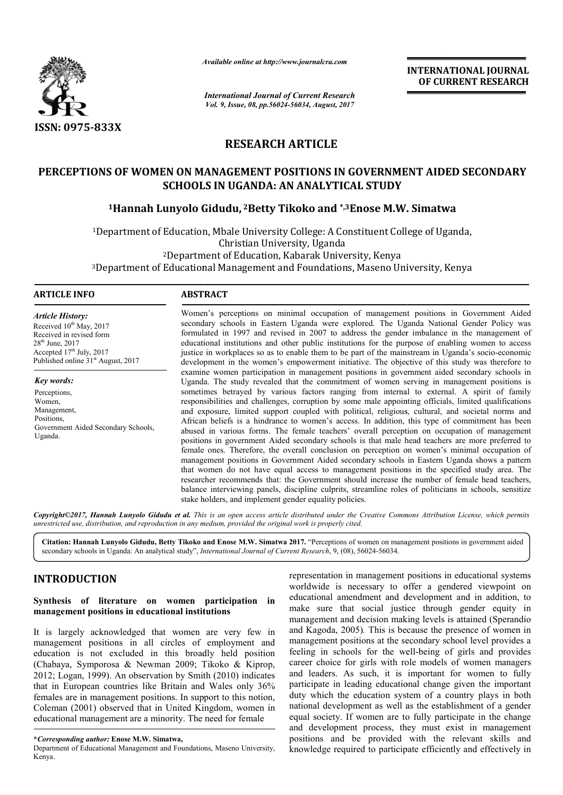

*Available online at http://www.journal http://www.journalcra.com*

*International Journal of Current Research Vol. 9, Issue, 08, pp.56024-56034, August, 2017*

**INTERNATIONAL JOURNAL OF CURRENT RESEARCH** 

# **RESEARCH ARTICLE**

# PERCEPTIONS OF WOMEN ON MANAGEMENT POSITIONS IN GOVERNMENT AIDED SECONDARY<br>SCHOOLS IN UGANDA: AN ANALYTICAL STUDY<br><sup>1</sup>Hannah Lunyolo Gidudu, <sup>2</sup>Betty Tikoko and \*,<sup>3</sup>Enose M.W. Simatwa **SCHOOLS IN UGANDA: AN ANALYTICAL STUDY**

# **1Hannah Lunyolo Gidudu, 2Betty Tikoko and \*,3Enose M.W. Simatwa**

<sup>1</sup>Department of Education, Mbale University College: A Constituent College of Uganda, 2Department of Education, Kabarak University, Kenya <sup>2</sup>Department of Education, Kabarak University, Kenya<br>3Department of Educational Management and Foundations, Maseno University, Kenya Christian University, Uganda

#### **ARTICLE INFO ABSTRACT**

*Article History:* Received 10<sup>th</sup> May, 2017 Received in revised form  $28<sup>th</sup>$  June,  $2017$ Accepted  $17<sup>th</sup>$  July, 2017 Published online  $31<sup>st</sup>$  August, 2017

*Key words:* Perceptions, Women, Management, Positions, Government Aided Secondary Schools, Uganda.

Women's perceptions on minimal occupation of management positions in Government Aided secondary schools in Eastern Uganda were explored. The Uganda National Gender Policy was Women's perceptions on minimal occupation of management positions in Government Aided secondary schools in Eastern Uganda were explored. The Uganda National Gender Policy was formulated in 1997 and revised in 2007 to addre educational institutions and other public institutions for the purpose of enabling women to access educational institutions and other public institutions for the purpose of enabling women to access justice in workplaces so as to enable them to be part of the mainstream in Uganda's socio-economic development in the women's empowerment initiative. The objective of this study was therefore to examine women participation in management positions in government aided secondary schools in Uganda. The study revealed that the commitment of women serving in management positions is sometimes betrayed by various factors ranging from internal to external. A spirit of family responsibilities and challenges, corruption by some male appointing officials, limited qualifications and exposure, limited support coupled with political, religious, cultural, and societal norms and African beliefs is a hindrance to women's access. In addition, this type of commitment has been abused in various forms. The female teachers' overall perception on occupation of management positions in government Aided secondary schools is that male head teachers are more preferred to female ones. Therefore, the overall conclusion on perception on women's minimal occupation of management positions in Government Aided secondary schools in Eastern Uganda shows a pattern that women do not have equal access to management positions in the specified study area. The researcher recommends that: the Government should increase the number of female head teachers, balance interviewing panels, discipline culprits, streamline roles of politicians in schools, sensitize stake holders, and implement gender equality policies. imes betrayed by various factors ranging from internal to external. A spirit of family asibilities and challenges, corruption by some male appointing officials, limited qualifications xposure, limited support coupled with development in the women's empowerment initiative. The objective of this study was therefore to examine women participation in management positions in government aided secondary schools in Uganda. The study revealed that t African beliefs is a hindrance to women's access. In addition, this type of commitment has been abused in various forms. The female teachers' overall perception on occupation of management positions in government Aided sec INTERNATIONAL JOURNAL<br>
OF CURRENT RESEARCH<br>
OF CURRENT RESEARCH<br>
TODY<br>
SERNMENT AIDED SECONDARY<br>
STUDY<br>
SERNMENT AIDED SECONDARY<br>
STUDY<br>
SERNMENT AIDED SECONDARY<br>
STUDY<br>
TODY<br>
A. The Uganda National Gender Policy was<br>
the

*Copyright©2017, Hannah Lunyolo Gidudu et al. This is an open access article distributed under the Creative Commons Att the Attribution License, which permits unrestricted use, distribution, and reproduction in any medium, provided the original work is properly cited.*

Citation: Hannah Lunyolo Gidudu, Betty Tikoko and Enose M.W. Simatwa 2017. "Perceptions of women on management positions in government aided secondary schools in Uganda: An analytical study", *International Journal of Current Research* , 9, (08), 56024-56034.

# **INTRODUCTION**

#### **Synthesis of literature on women participation in management positions in educational institutions**

It is largely acknowledged that women are very few in management positions in all circles of employment and education is not excluded in this broadly held position (Chabaya, Symporosa & Newman 2009; Tikoko & Kiprop, 2012; Logan, 1999). An observation by Smith (2010) indicates that in European countries like Britain and Wales only 36% females are in management positions. In support to this notion, Coleman (2001) observed that in United Kingdom, women in educational management are a minority. The need for female

representation in management positions in educational systems<br>worldwide is necessary to offer a gendered viewpoint on<br>make sure that social justice through gendered viewpoint<br>and in addition, to<br>management and decision mak worldwide is necessary to offer a gendered viewpoint on educational amendment and development and in addition, to make sure that social justice through gender equity in make sure that social justice through gender equity in management and decision making levels is attained (Sperandio and Kagoda, 2005)*.* This is because the presence of women in management positions at the secondary school level provides a management positions at the secondary school level provides a feeling in schools for the well-being of girls and provides career choice for girls with role models of women managers and leaders. As such, it is important for women to fully career choice for girls with role models of women managers<br>and leaders. As such, it is important for women to fully<br>participate in leading educational change given the important duty which the education system of a country plays in both national development as well as the establishment of a gender equal society. If women are to fully participate in the change national development as well as the establishment of a gender equal society. If women are to fully participate in the change and development process, they must exist in management positions and be provided with the relevant skills and knowledge required to participate efficiently and effectively in

**<sup>\*</sup>***Corresponding author:* **Enose M.W. Simatwa,**

Department of Educational Management and Foundations, Maseno University, Kenya.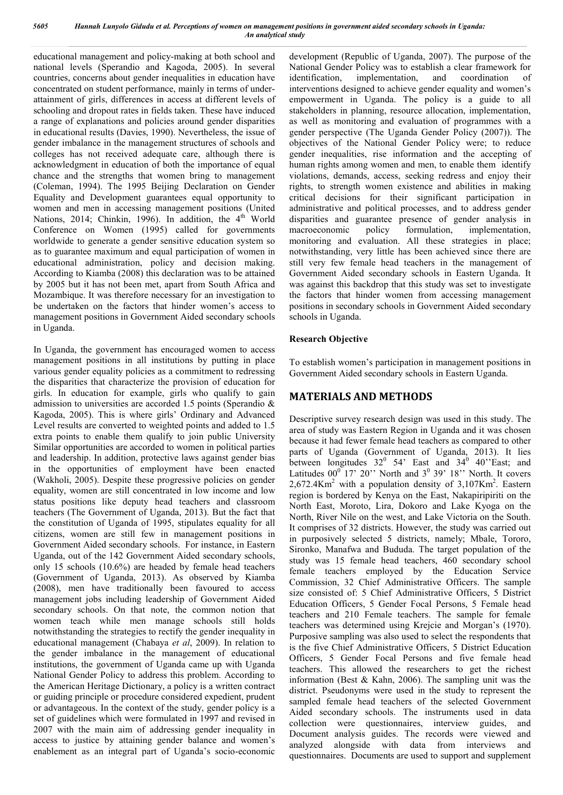educational management and policy-making at both school and national levels (Sperandio and Kagoda, 2005). In several countries, concerns about gender inequalities in education have concentrated on student performance, mainly in terms of underattainment of girls, differences in access at different levels of schooling and dropout rates in fields taken. These have induced a range of explanations and policies around gender disparities in educational results (Davies, 1990). Nevertheless, the issue of gender imbalance in the management structures of schools and colleges has not received adequate care, although there is acknowledgment in education of both the importance of equal chance and the strengths that women bring to management (Coleman, 1994). The 1995 Beijing Declaration on Gender Equality and Development guarantees equal opportunity to women and men in accessing management positions (United Nations, 2014; Chinkin, 1996). In addition, the  $4<sup>th</sup>$  World Conference on Women (1995) called for governments worldwide to generate a gender sensitive education system so as to guarantee maximum and equal participation of women in educational administration, policy and decision making. According to Kiamba (2008) this declaration was to be attained by 2005 but it has not been met, apart from South Africa and Mozambique. It was therefore necessary for an investigation to be undertaken on the factors that hinder women's access to management positions in Government Aided secondary schools in Uganda.

In Uganda, the government has encouraged women to access management positions in all institutions by putting in place various gender equality policies as a commitment to redressing the disparities that characterize the provision of education for girls. In education for example, girls who qualify to gain admission to universities are accorded 1.5 points (Sperandio & Kagoda, 2005). This is where girls' Ordinary and Advanced Level results are converted to weighted points and added to 1.5 extra points to enable them qualify to join public University Similar opportunities are accorded to women in political parties and leadership. In addition, protective laws against gender bias in the opportunities of employment have been enacted (Wakholi, 2005). Despite these progressive policies on gender equality, women are still concentrated in low income and low status positions like deputy head teachers and classroom teachers (The Government of Uganda, 2013). But the fact that the constitution of Uganda of 1995, stipulates equality for all citizens, women are still few in management positions in Government Aided secondary schools. For instance, in Eastern Uganda, out of the 142 Government Aided secondary schools, only 15 schools (10.6%) are headed by female head teachers (Government of Uganda, 2013). As observed by Kiamba (2008), men have traditionally been favoured to access management jobs including leadership of Government Aided secondary schools. On that note, the common notion that women teach while men manage schools still holds notwithstanding the strategies to rectify the gender inequality in educational management (Chabaya *et al*, 2009). In relation to the gender imbalance in the management of educational institutions, the government of Uganda came up with Uganda National Gender Policy to address this problem. According to the American Heritage Dictionary, a policy is a written contract or guiding principle or procedure considered expedient, prudent or advantageous. In the context of the study, gender policy is a set of guidelines which were formulated in 1997 and revised in 2007 with the main aim of addressing gender inequality in access to justice by attaining gender balance and women's enablement as an integral part of Uganda's socio-economic

development (Republic of Uganda, 2007). The purpose of the National Gender Policy was to establish a clear framework for identification, implementation, and coordination of interventions designed to achieve gender equality and women's empowerment in Uganda. The policy is a guide to all stakeholders in planning, resource allocation, implementation, as well as monitoring and evaluation of programmes with a gender perspective (The Uganda Gender Policy (2007)). The objectives of the National Gender Policy were; to reduce gender inequalities, rise information and the accepting of human rights among women and men, to enable them identify violations, demands, access, seeking redress and enjoy their rights, to strength women existence and abilities in making critical decisions for their significant participation in administrative and political processes, and to address gender disparities and guarantee presence of gender analysis in macroeconomic policy formulation, implementation, monitoring and evaluation. All these strategies in place; notwithstanding, very little has been achieved since there are still very few female head teachers in the management of Government Aided secondary schools in Eastern Uganda. It was against this backdrop that this study was set to investigate the factors that hinder women from accessing management positions in secondary schools in Government Aided secondary schools in Uganda.

### **Research Objective**

To establish women's participation in management positions in Government Aided secondary schools in Eastern Uganda.

# **MATERIALS AND METHODS**

Descriptive survey research design was used in this study. The area of study was Eastern Region in Uganda and it was chosen because it had fewer female head teachers as compared to other parts of Uganda (Government of Uganda, 2013). It lies between longitudes  $32^0$  54' East and  $34^0$  40''East; and Latitudes  $00^{\circ}$  17' 20'' North and  $3^{\circ}$  39' 18'' North. It covers  $2,672.4$ Km<sup>2</sup> with a population density of  $3,107$ Km<sup>2</sup>. Eastern region is bordered by Kenya on the East, Nakapiripiriti on the North East, Moroto, Lira, Dokoro and Lake Kyoga on the North, River Nile on the west, and Lake Victoria on the South. It comprises of 32 districts. However, the study was carried out in purposively selected 5 districts, namely; Mbale, Tororo, Sironko, Manafwa and Bududa. The target population of the study was 15 female head teachers, 460 secondary school female teachers employed by the Education Service Commission, 32 Chief Administrative Officers. The sample size consisted of: 5 Chief Administrative Officers, 5 District Education Officers, 5 Gender Focal Persons, 5 Female head teachers and 210 Female teachers. The sample for female teachers was determined using Krejcie and Morgan's (1970). Purposive sampling was also used to select the respondents that is the five Chief Administrative Officers, 5 District Education Officers, 5 Gender Focal Persons and five female head teachers. This allowed the researchers to get the richest information (Best & Kahn, 2006). The sampling unit was the district. Pseudonyms were used in the study to represent the sampled female head teachers of the selected Government Aided secondary schools. The instruments used in data collection were questionnaires, interview guides, and Document analysis guides. The records were viewed and analyzed alongside with data from interviews and questionnaires. Documents are used to support and supplement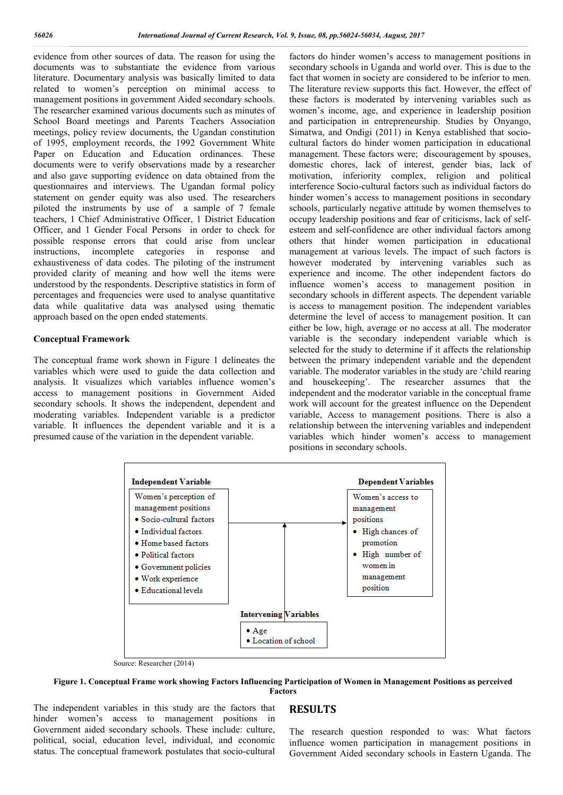evidence from other sources of data. The reason for using the documents was to substantiate the evidence from various literature. Documentary analysis was basically limited to data related to women's perception on minimal access to management positions in government Aided secondary schools. The researcher examined various documents such as minutes of School Board meetings and Parents Teachers Association meetings, policy review documents, the Ugandan constitution of 1995, employment records, the 1992 Government White Paper on Education and Education ordinances. These documents were to verify observations made by a researcher and also gave supporting evidence on data obtained from the questionnaires and interviews. The Ugandan formal policy statement on gender equity was also used. The researchers piloted the instruments by use of a sample of 7 female teachers, 1 Chief Administrative Officer, 1 District Education Officer, and 1 Gender Focal Persons in order to check for possible response errors that could arise from unclear instructions, incomplete categories in response and exhaustiveness of data codes. The piloting of the instrument provided clarity of meaning and how well the items were understood by the respondents. Descriptive statistics in form of percentages and frequencies were used to analyse quantitative data while qualitative data was analysed using thematic approach based on the open ended statements.

#### **Conceptual Framework**

The conceptual frame work shown in Figure 1 delineates the variables which were used to guide the data collection and analysis. It visualizes which variables influence women's access to management positions in Government Aided secondary schools. It shows the independent, dependent and moderating variables. Independent variable is a predictor variable. It influences the dependent variable and it is a presumed cause of the variation in the dependent variable.

factors do hinder women's access to management positions in secondary schools in Uganda and world over. This is due to the fact that women in society are considered to be inferior to men. The literature review supports this fact. However, the effect of these factors is moderated by intervening variables such as women's income, age, and experience in leadership position and participation in entrepreneurship. Studies by Onyango, Simatwa, and Ondigi (2011) in Kenya established that sociocultural factors do hinder women participation in educational management. These factors were; discouragement by spouses, domestic chores, lack of interest, gender bias, lack of motivation, inferiority complex, religion and political interference Socio-cultural factors such as individual factors do hinder women's access to management positions in secondary schools, particularly negative attitude by women themselves to occupy leadership positions and fear of criticisms, lack of selfesteem and self-confidence are other individual factors among others that hinder women participation in educational management at various levels. The impact of such factors is however moderated by intervening variables such as experience and income. The other independent factors do influence women's access to management position in secondary schools in different aspects. The dependent variable is access to management position. The independent variables determine the level of access to management position. It can either be low, high, average or no access at all. The moderator variable is the secondary independent variable which is selected for the study to determine if it affects the relationship between the primary independent variable and the dependent variable. The moderator variables in the study are 'child rearing and housekeeping'. The researcher assumes that the independent and the moderator variable in the conceptual frame work will account for the greatest influence on the Dependent variable, Access to management positions. There is also a relationship between the intervening variables and independent variables which hinder women's access to management positions in secondary schools.



Source: Researcher (2014)

**Figure 1. Conceptual Frame work showing Factors Influencing Participation of Women in Management Positions as perceived Factors**

The independent variables in this study are the factors that hinder women's access to management positions in Government aided secondary schools. These include: culture, political, social, education level, individual, and economic status. The conceptual framework postulates that socio-cultural

#### **RESULTS**

The research question responded to was: What factors influence women participation in management positions in Government Aided secondary schools in Eastern Uganda. The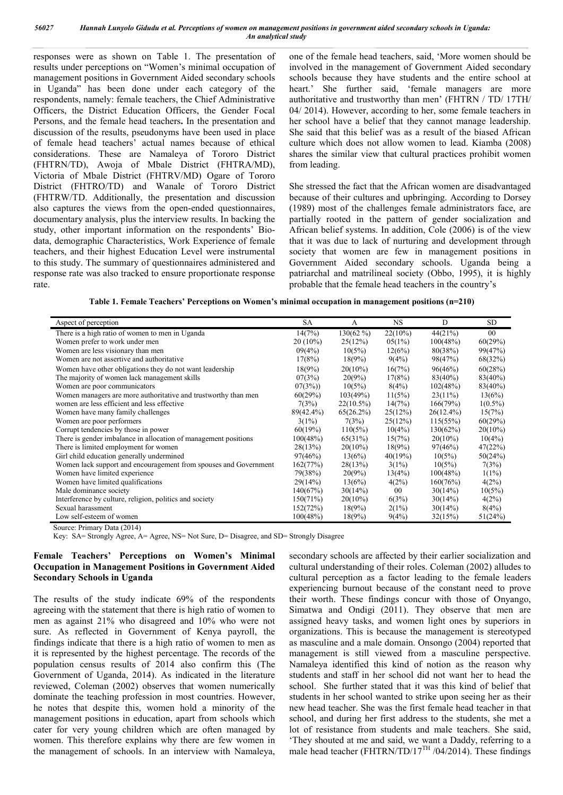responses were as shown on Table 1. The presentation of results under perceptions on "Women's minimal occupation of management positions in Government Aided secondary schools in Uganda" has been done under each category of the respondents, namely: female teachers, the Chief Administrative Officers, the District Education Officers, the Gender Focal Persons, and the female head teachers**.** In the presentation and discussion of the results, pseudonyms have been used in place of female head teachers' actual names because of ethical considerations. These are Namaleya of Tororo District (FHTRN/TD), Awoja of Mbale District (FHTRA/MD), Victoria of Mbale District (FHTRV/MD) Ogare of Tororo District (FHTRO/TD) and Wanale of Tororo District (FHTRW/TD. Additionally, the presentation and discussion also captures the views from the open-ended questionnaires, documentary analysis, plus the interview results. In backing the study, other important information on the respondents' Biodata, demographic Characteristics, Work Experience of female teachers, and their highest Education Level were instrumental to this study. The summary of questionnaires administered and response rate was also tracked to ensure proportionate response rate.

one of the female head teachers, said, 'More women should be involved in the management of Government Aided secondary schools because they have students and the entire school at heart.' She further said, 'female managers are more authoritative and trustworthy than men' (FHTRN / TD/ 17TH/ 04/ 2014). However, according to her, some female teachers in her school have a belief that they cannot manage leadership. She said that this belief was as a result of the biased African culture which does not allow women to lead. Kiamba (2008) shares the similar view that cultural practices prohibit women from leading.

She stressed the fact that the African women are disadvantaged because of their cultures and upbringing. According to Dorsey (1989) most of the challenges female administrators face, are partially rooted in the pattern of gender socialization and African belief systems. In addition, Cole (2006) is of the view that it was due to lack of nurturing and development through society that women are few in management positions in Government Aided secondary schools. Uganda being a patriarchal and matrilineal society (Obbo, 1995), it is highly probable that the female head teachers in the country's

| Aspect of perception                                             | SA         | A            | NS        | D            | <b>SD</b>  |
|------------------------------------------------------------------|------------|--------------|-----------|--------------|------------|
| There is a high ratio of women to men in Uganda                  | 14(7%)     | $130(62\%)$  | 22(10%)   | 44(21%)      | 00         |
| Women prefer to work under men                                   | $20(10\%)$ | 25(12%)      | $05(1\%)$ | 100(48%)     | 60(29%)    |
| Women are less visionary than men                                | 09(4%)     | 10(5%)       | 12(6%)    | 80(38%)      | 99(47%)    |
| Women are not assertive and authoritative                        | 17(8%)     | 18(9%)       | 9(4%)     | 98(47%)      | 68(32%)    |
| Women have other obligations they do not want leadership         | 18(9%)     | $20(10\%)$   | 16(7%)    | 96(46%)      | 60(28%)    |
| The majority of women lack management skills                     | 07(3%)     | $20(9\%)$    | 17(8%)    | $83(40\%)$   | $83(40\%)$ |
| Women are poor communicators                                     | 07(3%)     | 10(5%)       | 8(4%)     | 102(48%)     | $83(40\%)$ |
| Women managers are more authoritative and trustworthy than men   | 60(29%)    | 103(49%)     | 11(5%)    | 23(11%)      | 13(6%)     |
| women are less efficient and less effective                      | 7(3%)      | $22(10.5\%)$ | 14(7%)    | 166(79%)     | $1(0.5\%)$ |
| Women have many family challenges                                | 89(42.4%)  | 65(26.2%)    | 25(12%)   | $26(12.4\%)$ | 15(7%)     |
| Women are poor performers                                        | $3(1\%)$   | 7(3%)        | 25(12%)   | 115(55%)     | 60(29%)    |
| Corrupt tendencies by those in power                             | 60(19%)    | 110(5%)      | $10(4\%)$ | 130(62%)     | $20(10\%)$ |
| There is gender imbalance in allocation of management positions  | 100(48%)   | 65(31%)      | 15(7%)    | $20(10\%)$   | 10(4%)     |
| There is limited employment for women                            | 28(13%)    | $20(10\%)$   | $18(9\%)$ | 97(46%)      | 47(22%)    |
| Girl child education generally undermined                        | 97(46%)    | 13(6%)       | 40(19%)   | 10(5%)       | 50(24%)    |
| Women lack support and encouragement from spouses and Government | 162(77%)   | 28(13%)      | 3(1%)     | 10(5%)       | 7(3%)      |
| Women have limited experience                                    | 79(38%)    | $20(9\%)$    | 13(4%)    | 100(48%)     | $1(1\%)$   |
| Women have limited qualifications                                | 29(14%)    | 13(6%)       | 4(2%)     | 160(76%)     | 4(2%)      |
| Male dominance society                                           | 140(67%)   | 30(14%)      | $00\,$    | 30(14%)      | 10(5%)     |
| Interference by culture, religion, politics and society          | 150(71%)   | $20(10\%)$   | 6(3%)     | 30(14%)      | 4(2%)      |
| Sexual harassment                                                | 152(72%)   | $18(9\%)$    | 2(1%)     | 30(14%)      | 8(4%)      |
| Low self-esteem of women                                         | 100(48%)   | 18(9%)       | 9(4%)     | 32(15%)      | 51(24%)    |

Source: Primary Data (2014)

Key: SA= Strongly Agree, A= Agree, NS= Not Sure, D= Disagree, and SD= Strongly Disagree

#### **Female Teachers' Perceptions on Women's Minimal Occupation in Management Positions in Government Aided Secondary Schools in Uganda**

The results of the study indicate 69% of the respondents agreeing with the statement that there is high ratio of women to men as against 21% who disagreed and 10% who were not sure. As reflected in Government of Kenya payroll, the findings indicate that there is a high ratio of women to men as it is represented by the highest percentage. The records of the population census results of 2014 also confirm this (The Government of Uganda, 2014). As indicated in the literature reviewed, Coleman (2002) observes that women numerically dominate the teaching profession in most countries. However, he notes that despite this, women hold a minority of the management positions in education, apart from schools which cater for very young children which are often managed by women. This therefore explains why there are few women in the management of schools. In an interview with Namaleya, secondary schools are affected by their earlier socialization and cultural understanding of their roles. Coleman (2002) alludes to cultural perception as a factor leading to the female leaders experiencing burnout because of the constant need to prove their worth. These findings concur with those of Onyango, Simatwa and Ondigi (2011). They observe that men are assigned heavy tasks, and women light ones by superiors in organizations. This is because the management is stereotyped as masculine and a male domain. Onsongo (2004) reported that management is still viewed from a masculine perspective. Namaleya identified this kind of notion as the reason why students and staff in her school did not want her to head the school. She further stated that it was this kind of belief that students in her school wanted to strike upon seeing her as their new head teacher. She was the first female head teacher in that school, and during her first address to the students, she met a lot of resistance from students and male teachers. She said, 'They shouted at me and said, we want a Daddy, referring to a male head teacher (FHTRN/TD/17<sup>TH</sup> /04/2014). These findings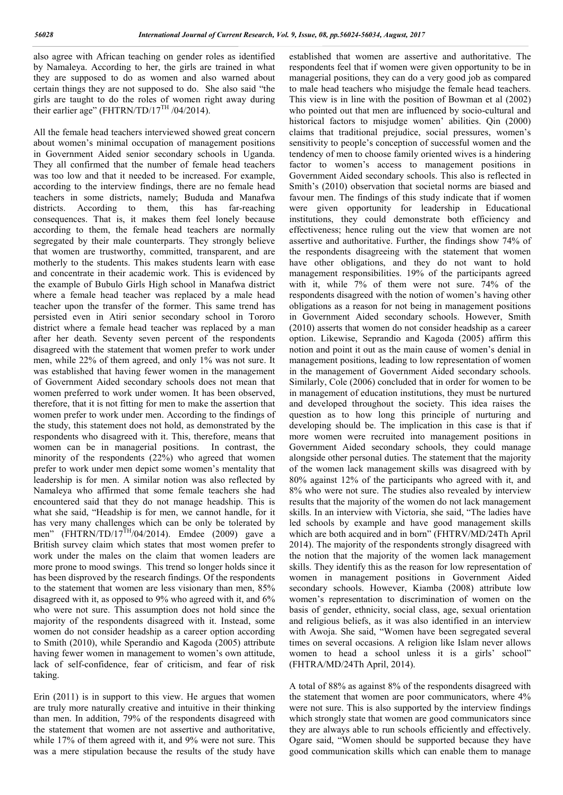also agree with African teaching on gender roles as identified by Namaleya. According to her, the girls are trained in what they are supposed to do as women and also warned about certain things they are not supposed to do. She also said "the girls are taught to do the roles of women right away during their earlier age" (FHTRN/TD/17<sup>TH</sup> /04/2014).

All the female head teachers interviewed showed great concern about women's minimal occupation of management positions in Government Aided senior secondary schools in Uganda. They all confirmed that the number of female head teachers was too low and that it needed to be increased. For example, according to the interview findings, there are no female head teachers in some districts, namely; Bududa and Manafwa districts. According to them, this has far-reaching consequences. That is, it makes them feel lonely because according to them, the female head teachers are normally segregated by their male counterparts. They strongly believe that women are trustworthy, committed, transparent, and are motherly to the students. This makes students learn with ease and concentrate in their academic work. This is evidenced by the example of Bubulo Girls High school in Manafwa district where a female head teacher was replaced by a male head teacher upon the transfer of the former. This same trend has persisted even in Atiri senior secondary school in Tororo district where a female head teacher was replaced by a man after her death. Seventy seven percent of the respondents disagreed with the statement that women prefer to work under men, while 22% of them agreed, and only 1% was not sure. It was established that having fewer women in the management of Government Aided secondary schools does not mean that women preferred to work under women. It has been observed, therefore, that it is not fitting for men to make the assertion that women prefer to work under men. According to the findings of the study, this statement does not hold, as demonstrated by the respondents who disagreed with it. This, therefore, means that women can be in managerial positions. In contrast, the minority of the respondents (22%) who agreed that women prefer to work under men depict some women's mentality that leadership is for men. A similar notion was also reflected by Namaleya who affirmed that some female teachers she had encountered said that they do not manage headship. This is what she said, "Headship is for men, we cannot handle, for it has very many challenges which can be only be tolerated by men" (FHTRN/TD/17 $^{TH}/04/2014$ ). Emdee (2009) gave a British survey claim which states that most women prefer to work under the males on the claim that women leaders are more prone to mood swings. This trend so longer holds since it has been disproved by the research findings. Of the respondents to the statement that women are less visionary than men, 85% disagreed with it, as opposed to 9% who agreed with it, and 6% who were not sure. This assumption does not hold since the majority of the respondents disagreed with it. Instead, some women do not consider headship as a career option according to Smith (2010), while Sperandio and Kagoda (2005) attribute having fewer women in management to women's own attitude, lack of self-confidence, fear of criticism, and fear of risk taking.

Erin (2011) is in support to this view. He argues that women are truly more naturally creative and intuitive in their thinking than men. In addition, 79% of the respondents disagreed with the statement that women are not assertive and authoritative, while 17% of them agreed with it, and 9% were not sure. This was a mere stipulation because the results of the study have

established that women are assertive and authoritative. The respondents feel that if women were given opportunity to be in managerial positions, they can do a very good job as compared to male head teachers who misjudge the female head teachers. This view is in line with the position of Bowman et al (2002) who pointed out that men are influenced by socio-cultural and historical factors to misjudge women' abilities. Qin (2000) claims that traditional prejudice, social pressures, women's sensitivity to people's conception of successful women and the tendency of men to choose family oriented wives is a hindering factor to women's access to management positions in Government Aided secondary schools. This also is reflected in Smith's (2010) observation that societal norms are biased and favour men. The findings of this study indicate that if women were given opportunity for leadership in Educational institutions, they could demonstrate both efficiency and effectiveness; hence ruling out the view that women are not assertive and authoritative. Further, the findings show 74% of the respondents disagreeing with the statement that women have other obligations, and they do not want to hold management responsibilities. 19% of the participants agreed with it, while 7% of them were not sure. 74% of the respondents disagreed with the notion of women's having other obligations as a reason for not being in management positions in Government Aided secondary schools. However, Smith (2010) asserts that women do not consider headship as a career option. Likewise, Seprandio and Kagoda (2005) affirm this notion and point it out as the main cause of women's denial in management positions, leading to low representation of women in the management of Government Aided secondary schools. Similarly, Cole (2006) concluded that in order for women to be in management of education institutions, they must be nurtured and developed throughout the society. This idea raises the question as to how long this principle of nurturing and developing should be. The implication in this case is that if more women were recruited into management positions in Government Aided secondary schools, they could manage alongside other personal duties. The statement that the majority of the women lack management skills was disagreed with by 80% against 12% of the participants who agreed with it, and 8% who were not sure. The studies also revealed by interview results that the majority of the women do not lack management skills. In an interview with Victoria, she said, "The ladies have led schools by example and have good management skills which are both acquired and in born" (FHTRV/MD/24Th April 2014). The majority of the respondents strongly disagreed with the notion that the majority of the women lack management skills. They identify this as the reason for low representation of women in management positions in Government Aided secondary schools. However, Kiamba (2008) attribute low women's representation to discrimination of women on the basis of gender, ethnicity, social class, age, sexual orientation and religious beliefs, as it was also identified in an interview with Awoja. She said, "Women have been segregated several times on several occasions. A religion like Islam never allows women to head a school unless it is a girls' school" (FHTRA/MD/24Th April, 2014).

A total of 88% as against 8% of the respondents disagreed with the statement that women are poor communicators, where 4% were not sure. This is also supported by the interview findings which strongly state that women are good communicators since they are always able to run schools efficiently and effectively. Ogare said, "Women should be supported because they have good communication skills which can enable them to manage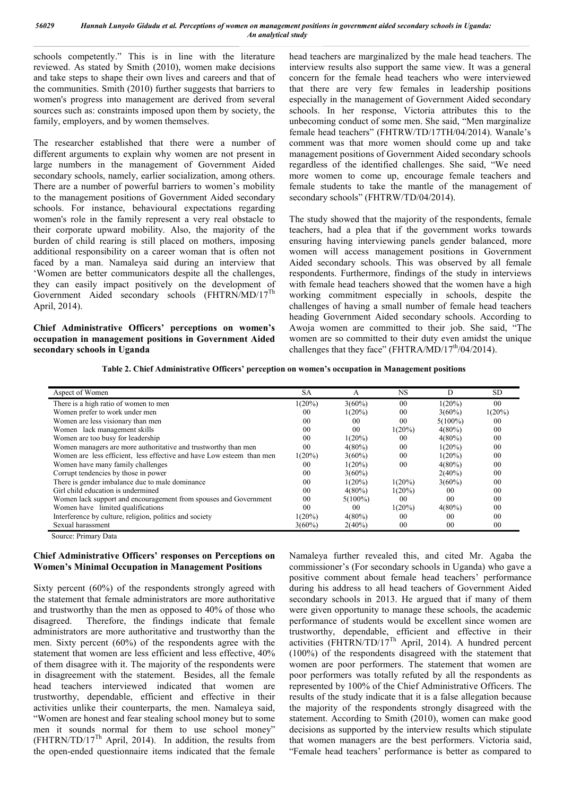schools competently." This is in line with the literature reviewed. As stated by Smith (2010), women make decisions and take steps to shape their own lives and careers and that of the communities. Smith (2010) further suggests that barriers to women's progress into management are derived from several sources such as: constraints imposed upon them by society, the family, employers, and by women themselves.

The researcher established that there were a number of different arguments to explain why women are not present in large numbers in the management of Government Aided secondary schools, namely, earlier socialization, among others. There are a number of powerful barriers to women's mobility to the management positions of Government Aided secondary schools. For instance, behavioural expectations regarding women's role in the family represent a very real obstacle to their corporate upward mobility. Also, the majority of the burden of child rearing is still placed on mothers, imposing additional responsibility on a career woman that is often not faced by a man. Namaleya said during an interview that 'Women are better communicators despite all the challenges, they can easily impact positively on the development of Government Aided secondary schools (FHTRN/MD/17<sup>Th</sup> April, 2014).

**Chief Administrative Officers' perceptions on women's occupation in management positions in Government Aided secondary schools in Uganda**

head teachers are marginalized by the male head teachers. The interview results also support the same view. It was a general concern for the female head teachers who were interviewed that there are very few females in leadership positions especially in the management of Government Aided secondary schools. In her response, Victoria attributes this to the unbecoming conduct of some men. She said, "Men marginalize female head teachers" (FHTRW/TD/17TH/04/2014). Wanale's comment was that more women should come up and take management positions of Government Aided secondary schools regardless of the identified challenges. She said, "We need more women to come up, encourage female teachers and female students to take the mantle of the management of secondary schools" (FHTRW/TD/04/2014).

The study showed that the majority of the respondents, female teachers, had a plea that if the government works towards ensuring having interviewing panels gender balanced, more women will access management positions in Government Aided secondary schools. This was observed by all female respondents. Furthermore, findings of the study in interviews with female head teachers showed that the women have a high working commitment especially in schools, despite the challenges of having a small number of female head teachers heading Government Aided secondary schools. According to Awoja women are committed to their job. She said, "The women are so committed to their duty even amidst the unique challenges that they face" (FHTRA/MD/17<sup>th</sup>/04/2014).

**Table 2. Chief Administrative Officers' perception on women's occupation in Management positions**

| Aspect of Women                                                       | <b>SA</b>      | А              | <b>NS</b>      | D              | <b>SD</b>      |
|-----------------------------------------------------------------------|----------------|----------------|----------------|----------------|----------------|
| There is a high ratio of women to men                                 | $1(20\%)$      | $3(60\%)$      | 0 <sub>0</sub> | $1(20\%)$      | 0 <sub>0</sub> |
| Women prefer to work under men                                        | 00             | $1(20\%)$      | 0 <sub>0</sub> | $3(60\%)$      | $1(20\%)$      |
| Women are less visionary than men                                     | 0 <sup>0</sup> | 00             | 0 <sub>0</sub> | $5(100\%)$     | 00             |
| Women lack management skills                                          | 0 <sup>0</sup> | 0 <sub>0</sub> | $1(20\%)$      | $4(80\%)$      | 0 <sub>0</sub> |
| Women are too busy for leadership                                     | 0 <sup>0</sup> | $1(20\%)$      | 00             | $4(80\%)$      | 0 <sub>0</sub> |
| Women managers are more authoritative and trustworthy than men        | 0 <sup>0</sup> | $4(80\%)$      | 0 <sub>0</sub> | $1(20\%)$      | 0 <sup>0</sup> |
| Women are less efficient, less effective and have Low esteem than men | $1(20\%)$      | $3(60\%)$      | 0 <sub>0</sub> | $1(20\%)$      | 0 <sub>0</sub> |
| Women have many family challenges                                     | 00             | $1(20\%)$      | 0 <sub>0</sub> | $4(80\%)$      | 0 <sub>0</sub> |
| Corrupt tendencies by those in power                                  | 0 <sup>0</sup> | $3(60\%)$      |                | $2(40\%)$      | 0 <sub>0</sub> |
| There is gender imbalance due to male dominance                       | 0 <sup>0</sup> | $1(20\%)$      | $1(20\%)$      | $3(60\%)$      | 0 <sub>0</sub> |
| Girl child education is undermined                                    | 0 <sup>0</sup> | $4(80\%)$      | $1(20\%)$      | 0 <sup>0</sup> | 0 <sub>0</sub> |
| Women lack support and encouragement from spouses and Government      | 0 <sup>0</sup> | $5(100\%)$     | 0 <sub>0</sub> | 0 <sub>0</sub> | 0 <sub>0</sub> |
| Women have limited qualifications                                     | 0 <sup>0</sup> | 00             | $1(20\%)$      | $4(80\%)$      | 0 <sub>0</sub> |
| Interference by culture, religion, politics and society               | $1(20\%)$      | $4(80\%)$      | 00             | 0 <sup>0</sup> | 0 <sup>0</sup> |
| Sexual harassment                                                     | $3(60\%)$      | $2(40\%)$      | 0 <sub>0</sub> | $00\,$         | 00             |

Source: Primary Data

## **Chief Administrative Officers' responses on Perceptions on Women's Minimal Occupation in Management Positions**

Sixty percent (60%) of the respondents strongly agreed with the statement that female administrators are more authoritative and trustworthy than the men as opposed to 40% of those who disagreed. Therefore, the findings indicate that female administrators are more authoritative and trustworthy than the men. Sixty percent (60%) of the respondents agree with the statement that women are less efficient and less effective, 40% of them disagree with it. The majority of the respondents were in disagreement with the statement. Besides, all the female head teachers interviewed indicated that women are trustworthy, dependable, efficient and effective in their activities unlike their counterparts, the men. Namaleya said, "Women are honest and fear stealing school money but to some men it sounds normal for them to use school money" (FHTRN/TD/17Th April, 2014). In addition, the results from the open-ended questionnaire items indicated that the female

Namaleya further revealed this, and cited Mr. Agaba the commissioner's (For secondary schools in Uganda) who gave a positive comment about female head teachers' performance during his address to all head teachers of Government Aided secondary schools in 2013. He argued that if many of them were given opportunity to manage these schools, the academic performance of students would be excellent since women are trustworthy, dependable, efficient and effective in their activities (FHTRN/TD/17<sup>Th</sup> April, 2014). A hundred percent (100%) of the respondents disagreed with the statement that women are poor performers. The statement that women are poor performers was totally refuted by all the respondents as represented by 100% of the Chief Administrative Officers. The results of the study indicate that it is a false allegation because the majority of the respondents strongly disagreed with the statement. According to Smith (2010), women can make good decisions as supported by the interview results which stipulate that women managers are the best performers. Victoria said, "Female head teachers' performance is better as compared to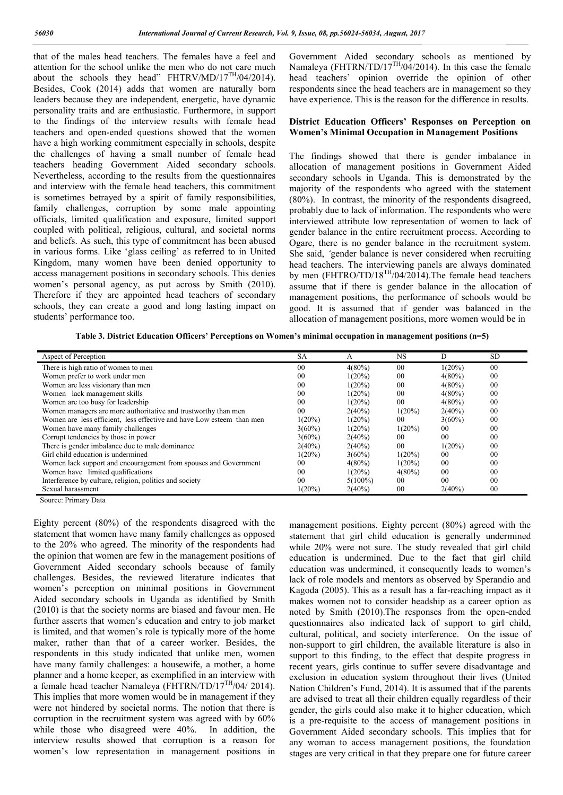that of the males head teachers. The females have a feel and attention for the school unlike the men who do not care much about the schools they head" FHTRV/MD/17 $^{TH}/04/2014$ ). Besides, Cook (2014) adds that women are naturally born leaders because they are independent, energetic, have dynamic personality traits and are enthusiastic. Furthermore, in support to the findings of the interview results with female head teachers and open-ended questions showed that the women have a high working commitment especially in schools, despite the challenges of having a small number of female head teachers heading Government Aided secondary schools. Nevertheless, according to the results from the questionnaires and interview with the female head teachers, this commitment is sometimes betrayed by a spirit of family responsibilities, family challenges, corruption by some male appointing officials, limited qualification and exposure, limited support coupled with political, religious, cultural, and societal norms and beliefs. As such, this type of commitment has been abused in various forms. Like 'glass ceiling' as referred to in United Kingdom, many women have been denied opportunity to access management positions in secondary schools. This denies women's personal agency, as put across by Smith (2010). Therefore if they are appointed head teachers of secondary schools, they can create a good and long lasting impact on students' performance too.

Government Aided secondary schools as mentioned by Namaleya (FHTRN/TD/17 $^{TH}/04/2014$ ). In this case the female head teachers' opinion override the opinion of other respondents since the head teachers are in management so they have experience. This is the reason for the difference in results.

#### **District Education Officers' Responses on Perception on Women's Minimal Occupation in Management Positions**

The findings showed that there is gender imbalance in allocation of management positions in Government Aided secondary schools in Uganda. This is demonstrated by the majority of the respondents who agreed with the statement (80%). In contrast, the minority of the respondents disagreed, probably due to lack of information. The respondents who were interviewed attribute low representation of women to lack of gender balance in the entire recruitment process. According to Ogare, there is no gender balance in the recruitment system. She said, *'*gender balance is never considered when recruiting head teachers. The interviewing panels are always dominated by men (FHTRO/TD/18<sup>TH</sup>/04/2014).The female head teachers assume that if there is gender balance in the allocation of management positions, the performance of schools would be good. It is assumed that if gender was balanced in the allocation of management positions, more women would be in

**Table 3. District Education Officers' Perceptions on Women's minimal occupation in management positions (n=5)**

| Aspect of Perception                                                  | SА             | А          | NS             | D              | <b>SD</b>      |
|-----------------------------------------------------------------------|----------------|------------|----------------|----------------|----------------|
| There is high ratio of women to men                                   | 00             | $4(80\%)$  | 00             | $1(20\%)$      | 00             |
| Women prefer to work under men                                        | 00             | $1(20\%)$  | 00             | $4(80\%)$      | 00             |
| Women are less visionary than men                                     | 00             | $1(20\%)$  | 00             | $4(80\%)$      | 00             |
| Women lack management skills                                          | 0 <sup>0</sup> | $1(20\%)$  | 00             | $4(80\%)$      | 00             |
| Women are too busy for leadership                                     | 0 <sup>0</sup> | $1(20\%)$  | 0 <sup>0</sup> | $4(80\%)$      | 00             |
| Women managers are more authoritative and trustworthy than men        | 0 <sup>0</sup> | $2(40\%)$  | $1(20\%)$      | $2(40\%)$      | 00             |
| Women are less efficient, less effective and have Low esteem than men | $1(20\%)$      | $1(20\%)$  | 00             | $3(60\%)$      | 00             |
| Women have many family challenges                                     | $3(60\%)$      | $1(20\%)$  | $1(20\%)$      | 00             | 00             |
| Corrupt tendencies by those in power                                  | $3(60\%)$      | $2(40\%)$  | 0 <sup>0</sup> | 0 <sup>0</sup> | 0 <sub>0</sub> |
| There is gender imbalance due to male dominance                       | $2(40\%)$      | $2(40\%)$  | 0 <sup>0</sup> | $1(20\%)$      | 00             |
| Girl child education is undermined                                    | $1(20\%)$      | $3(60\%)$  | $1(20\%)$      | 00             | 00             |
| Women lack support and encouragement from spouses and Government      | 00             | $4(80\%)$  | $1(20\%)$      | 0 <sup>0</sup> | 0 <sub>0</sub> |
| Women have limited qualifications                                     | 0 <sup>0</sup> | $1(20\%)$  | $4(80\%)$      | 00             | 00             |
| Interference by culture, religion, politics and society               | 0 <sup>0</sup> | $5(100\%)$ | 0 <sup>0</sup> | 0 <sub>0</sub> | 0 <sub>0</sub> |
| Sexual harassment                                                     | $1(20\%)$      | $2(40\%)$  | 00             | $2(40\%)$      | 00             |

Source: Primary Data

Eighty percent (80%) of the respondents disagreed with the statement that women have many family challenges as opposed to the 20% who agreed. The minority of the respondents had the opinion that women are few in the management positions of Government Aided secondary schools because of family challenges. Besides, the reviewed literature indicates that women's perception on minimal positions in Government Aided secondary schools in Uganda as identified by Smith (2010) is that the society norms are biased and favour men. He further asserts that women's education and entry to job market is limited, and that women's role is typically more of the home maker, rather than that of a career worker. Besides, the respondents in this study indicated that unlike men, women have many family challenges: a housewife, a mother, a home planner and a home keeper, as exemplified in an interview with a female head teacher Namaleya (FHTRN/TD/17 $^{TH}$ /04/ 2014). This implies that more women would be in management if they were not hindered by societal norms. The notion that there is corruption in the recruitment system was agreed with by 60% while those who disagreed were 40%. In addition, the interview results showed that corruption is a reason for women's low representation in management positions in

management positions. Eighty percent (80%) agreed with the statement that girl child education is generally undermined while 20% were not sure. The study revealed that girl child education is undermined. Due to the fact that girl child education was undermined, it consequently leads to women's lack of role models and mentors as observed by Sperandio and Kagoda (2005). This as a result has a far-reaching impact as it makes women not to consider headship as a career option as noted by Smith (2010).The responses from the open-ended questionnaires also indicated lack of support to girl child, cultural, political, and society interference. On the issue of non-support to girl children, the available literature is also in support to this finding, to the effect that despite progress in recent years, girls continue to suffer severe disadvantage and exclusion in education system throughout their lives (United Nation Children's Fund, 2014). It is assumed that if the parents are advised to treat all their children equally regardless of their gender, the girls could also make it to higher education, which is a pre-requisite to the access of management positions in Government Aided secondary schools. This implies that for any woman to access management positions, the foundation stages are very critical in that they prepare one for future career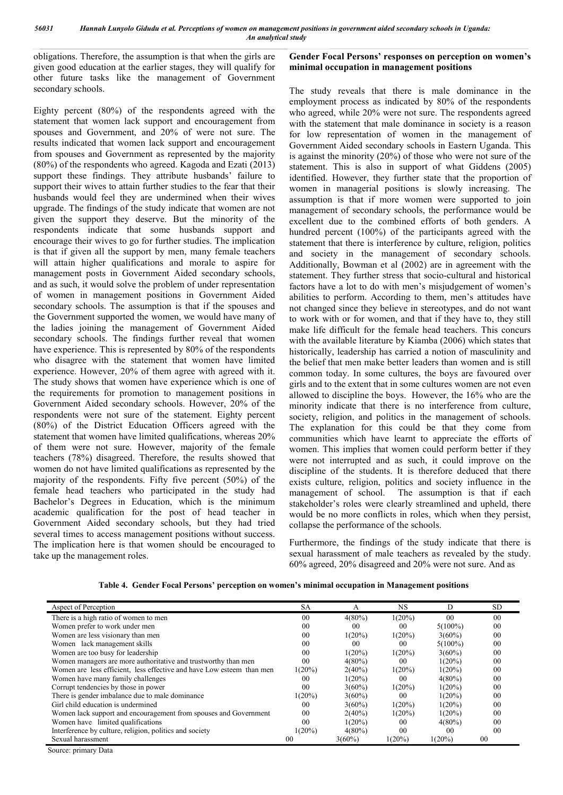obligations. Therefore, the assumption is that when the girls are given good education at the earlier stages, they will qualify for other future tasks like the management of Government secondary schools.

Eighty percent (80%) of the respondents agreed with the statement that women lack support and encouragement from spouses and Government, and 20% of were not sure. The results indicated that women lack support and encouragement from spouses and Government as represented by the majority  $(80\%)$  of the respondents who agreed. Kagoda and Ezati  $(2013)$ support these findings. They attribute husbands' failure to support their wives to attain further studies to the fear that their husbands would feel they are undermined when their wives upgrade. The findings of the study indicate that women are not given the support they deserve. But the minority of the respondents indicate that some husbands support and encourage their wives to go for further studies. The implication is that if given all the support by men, many female teachers will attain higher qualifications and morale to aspire for management posts in Government Aided secondary schools, and as such, it would solve the problem of under representation of women in management positions in Government Aided secondary schools. The assumption is that if the spouses and the Government supported the women, we would have many of the ladies joining the management of Government Aided secondary schools. The findings further reveal that women have experience. This is represented by 80% of the respondents who disagree with the statement that women have limited experience. However, 20% of them agree with agreed with it. The study shows that women have experience which is one of the requirements for promotion to management positions in Government Aided secondary schools. However, 20% of the respondents were not sure of the statement. Eighty percent (80%) of the District Education Officers agreed with the statement that women have limited qualifications, whereas 20% of them were not sure. However, majority of the female teachers (78%) disagreed. Therefore, the results showed that women do not have limited qualifications as represented by the majority of the respondents. Fifty five percent (50%) of the female head teachers who participated in the study had Bachelor's Degrees in Education, which is the minimum academic qualification for the post of head teacher in Government Aided secondary schools, but they had tried several times to access management positions without success. The implication here is that women should be encouraged to take up the management roles.

**Gender Focal Persons' responses on perception on women's minimal occupation in management positions**

The study reveals that there is male dominance in the employment process as indicated by 80% of the respondents who agreed, while 20% were not sure. The respondents agreed with the statement that male dominance in society is a reason for low representation of women in the management of Government Aided secondary schools in Eastern Uganda. This is against the minority (20%) of those who were not sure of the statement. This is also in support of what Giddens (2005) identified. However, they further state that the proportion of women in managerial positions is slowly increasing. The assumption is that if more women were supported to join management of secondary schools, the performance would be excellent due to the combined efforts of both genders. A hundred percent (100%) of the participants agreed with the statement that there is interference by culture, religion, politics and society in the management of secondary schools. Additionally, Bowman et al (2002) are in agreement with the statement. They further stress that socio-cultural and historical factors have a lot to do with men's misjudgement of women's abilities to perform. According to them, men's attitudes have not changed since they believe in stereotypes, and do not want to work with or for women, and that if they have to, they still make life difficult for the female head teachers. This concurs with the available literature by Kiamba (2006) which states that historically, leadership has carried a notion of masculinity and the belief that men make better leaders than women and is still common today. In some cultures, the boys are favoured over girls and to the extent that in some cultures women are not even allowed to discipline the boys. However, the 16% who are the minority indicate that there is no interference from culture, society, religion, and politics in the management of schools. The explanation for this could be that they come from communities which have learnt to appreciate the efforts of women. This implies that women could perform better if they were not interrupted and as such, it could improve on the discipline of the students. It is therefore deduced that there exists culture, religion, politics and society influence in the management of school. The assumption is that if each stakeholder's roles were clearly streamlined and upheld, there would be no more conflicts in roles, which when they persist. collapse the performance of the schools.

Furthermore, the findings of the study indicate that there is sexual harassment of male teachers as revealed by the study. 60% agreed, 20% disagreed and 20% were not sure. And as

| Aspect of Perception                                                  | <b>SA</b>      | А              | NS             | D              | SD.            |
|-----------------------------------------------------------------------|----------------|----------------|----------------|----------------|----------------|
| There is a high ratio of women to men                                 | 00             | $4(80\%)$      | $1(20\%)$      | 0 <sup>0</sup> | 00             |
| Women prefer to work under men                                        | 0 <sub>0</sub> | 0 <sup>0</sup> | 00             | $5(100\%)$     | 0 <sub>0</sub> |
| Women are less visionary than men                                     | 0 <sub>0</sub> | $1(20\%)$      | $1(20\%)$      | $3(60\%)$      | 00             |
| Women lack management skills                                          | 0 <sub>0</sub> | 0 <sup>0</sup> | 00             | $5(100\%)$     | 00             |
| Women are too busy for leadership                                     | 0 <sub>0</sub> | $1(20\%)$      | $1(20\%)$      | $3(60\%)$      | 00             |
| Women managers are more authoritative and trustworthy than men        | 0 <sup>0</sup> | $4(80\%)$      | 00             | $1(20\%)$      | 00             |
| Women are less efficient, less effective and have Low esteem than men | $1(20\%)$      | $2(40\%)$      | $1(20\%)$      | $1(20\%)$      | 00             |
| Women have many family challenges                                     | 00             | $1(20\%)$      | 00             | $4(80\%)$      | 00             |
| Corrupt tendencies by those in power                                  | 0 <sub>0</sub> | $3(60\%)$      | $1(20\%)$      | $1(20\%)$      | 00             |
| There is gender imbalance due to male dominance                       | $1(20\%)$      | $3(60\%)$      | 00             | $1(20\%)$      | 00             |
| Girl child education is undermined                                    | 0 <sub>0</sub> | $3(60\%)$      | $1(20\%)$      | $1(20\%)$      | 00             |
| Women lack support and encouragement from spouses and Government      | 0 <sub>0</sub> | $2(40\%)$      | $1(20\%)$      | $1(20\%)$      | 00             |
| Women have limited qualifications                                     | 0 <sub>0</sub> | $1(20\%)$      | 0 <sup>0</sup> | $4(80\%)$      | 00             |
| Interference by culture, religion, politics and society               | $1(20\%)$      | $4(80\%)$      | 0 <sup>0</sup> | 0 <sup>0</sup> | 0 <sub>0</sub> |
| Sexual harassment                                                     | 00             | $3(60\%)$      | $1(20\%)$      | $1(20\%)$      | 00             |

**Table 4. Gender Focal Persons' perception on women's minimal occupation in Management positions**

Source: primary Data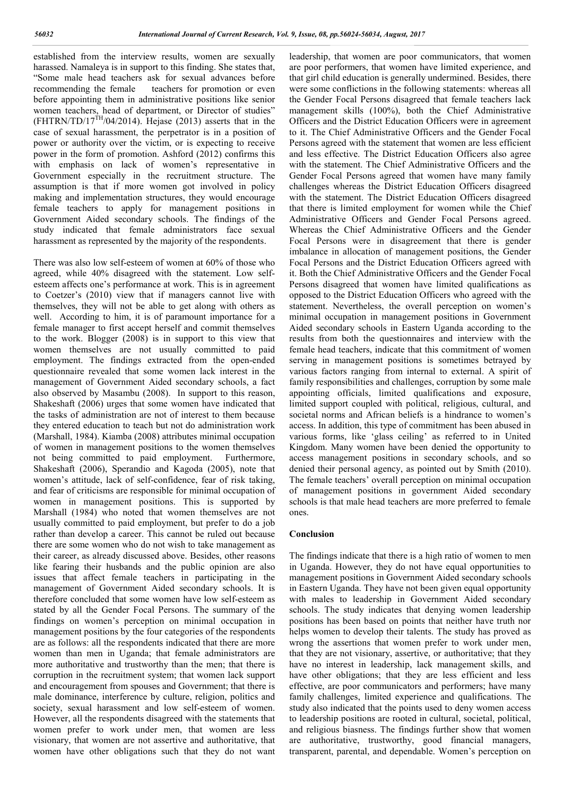established from the interview results, women are sexually harassed. Namaleya is in support to this finding. She states that, "Some male head teachers ask for sexual advances before recommending the female teachers for promotion or even before appointing them in administrative positions like senior women teachers, head of department, or Director of studies" (FHTRN/TD/17 $^{TH}$ /04/2014). Hejase (2013) asserts that in the case of sexual harassment, the perpetrator is in a position of power or authority over the victim, or is expecting to receive power in the form of promotion. Ashford (2012) confirms this with emphasis on lack of women's representative in Government especially in the recruitment structure. The assumption is that if more women got involved in policy making and implementation structures, they would encourage female teachers to apply for management positions in Government Aided secondary schools. The findings of the study indicated that female administrators face sexual harassment as represented by the majority of the respondents.

There was also low self-esteem of women at 60% of those who agreed, while 40% disagreed with the statement. Low selfesteem affects one's performance at work. This is in agreement to Coetzer's (2010) view that if managers cannot live with themselves, they will not be able to get along with others as well. According to him, it is of paramount importance for a female manager to first accept herself and commit themselves to the work. Blogger (2008) is in support to this view that women themselves are not usually committed to paid employment. The findings extracted from the open-ended questionnaire revealed that some women lack interest in the management of Government Aided secondary schools, a fact also observed by Masambu (2008). In support to this reason, Shakeshaft (2006) urges that some women have indicated that the tasks of administration are not of interest to them because they entered education to teach but not do administration work (Marshall, 1984). Kiamba (2008) attributes minimal occupation of women in management positions to the women themselves not being committed to paid employment. Furthermore, Shakeshaft (2006), Sperandio and Kagoda (2005), note that women's attitude, lack of self-confidence, fear of risk taking, and fear of criticisms are responsible for minimal occupation of women in management positions. This is supported by Marshall (1984) who noted that women themselves are not usually committed to paid employment, but prefer to do a job rather than develop a career. This cannot be ruled out because there are some women who do not wish to take management as their career, as already discussed above. Besides, other reasons like fearing their husbands and the public opinion are also issues that affect female teachers in participating in the management of Government Aided secondary schools. It is therefore concluded that some women have low self-esteem as stated by all the Gender Focal Persons. The summary of the findings on women's perception on minimal occupation in management positions by the four categories of the respondents are as follows: all the respondents indicated that there are more women than men in Uganda; that female administrators are more authoritative and trustworthy than the men; that there is corruption in the recruitment system; that women lack support and encouragement from spouses and Government; that there is male dominance, interference by culture, religion, politics and society, sexual harassment and low self-esteem of women. However, all the respondents disagreed with the statements that women prefer to work under men, that women are less visionary, that women are not assertive and authoritative, that women have other obligations such that they do not want

leadership, that women are poor communicators, that women are poor performers, that women have limited experience, and that girl child education is generally undermined. Besides, there were some conflictions in the following statements: whereas all the Gender Focal Persons disagreed that female teachers lack management skills (100%), both the Chief Administrative Officers and the District Education Officers were in agreement to it. The Chief Administrative Officers and the Gender Focal Persons agreed with the statement that women are less efficient and less effective. The District Education Officers also agree with the statement. The Chief Administrative Officers and the Gender Focal Persons agreed that women have many family challenges whereas the District Education Officers disagreed with the statement. The District Education Officers disagreed that there is limited employment for women while the Chief Administrative Officers and Gender Focal Persons agreed. Whereas the Chief Administrative Officers and the Gender Focal Persons were in disagreement that there is gender imbalance in allocation of management positions, the Gender Focal Persons and the District Education Officers agreed with it. Both the Chief Administrative Officers and the Gender Focal Persons disagreed that women have limited qualifications as opposed to the District Education Officers who agreed with the statement. Nevertheless, the overall perception on women's minimal occupation in management positions in Government Aided secondary schools in Eastern Uganda according to the results from both the questionnaires and interview with the female head teachers, indicate that this commitment of women serving in management positions is sometimes betrayed by various factors ranging from internal to external. A spirit of family responsibilities and challenges, corruption by some male appointing officials, limited qualifications and exposure, limited support coupled with political, religious, cultural, and societal norms and African beliefs is a hindrance to women's access. In addition, this type of commitment has been abused in various forms, like 'glass ceiling' as referred to in United Kingdom. Many women have been denied the opportunity to access management positions in secondary schools, and so denied their personal agency, as pointed out by Smith (2010). The female teachers' overall perception on minimal occupation of management positions in government Aided secondary schools is that male head teachers are more preferred to female ones.

#### **Conclusion**

The findings indicate that there is a high ratio of women to men in Uganda. However, they do not have equal opportunities to management positions in Government Aided secondary schools in Eastern Uganda. They have not been given equal opportunity with males to leadership in Government Aided secondary schools. The study indicates that denying women leadership positions has been based on points that neither have truth nor helps women to develop their talents. The study has proved as wrong the assertions that women prefer to work under men, that they are not visionary, assertive, or authoritative; that they have no interest in leadership, lack management skills, and have other obligations; that they are less efficient and less effective, are poor communicators and performers; have many family challenges, limited experience and qualifications. The study also indicated that the points used to deny women access to leadership positions are rooted in cultural, societal, political, and religious biasness. The findings further show that women are authoritative, trustworthy, good financial managers, transparent, parental, and dependable. Women's perception on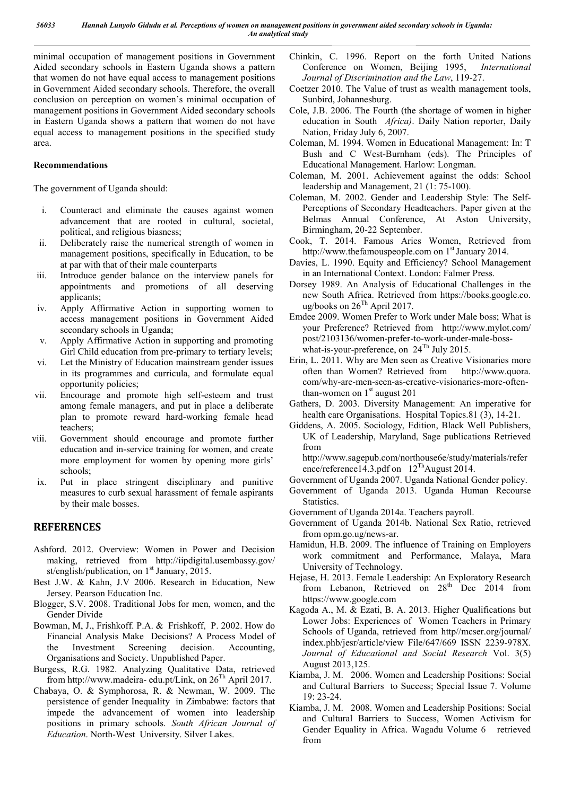minimal occupation of management positions in Government Aided secondary schools in Eastern Uganda shows a pattern that women do not have equal access to management positions in Government Aided secondary schools. Therefore, the overall conclusion on perception on women's minimal occupation of management positions in Government Aided secondary schools in Eastern Uganda shows a pattern that women do not have equal access to management positions in the specified study area.

#### **Recommendations**

The government of Uganda should:

- i. Counteract and eliminate the causes against women advancement that are rooted in cultural, societal, political, and religious biasness;
- ii. Deliberately raise the numerical strength of women in management positions, specifically in Education, to be at par with that of their male counterparts
- iii. Introduce gender balance on the interview panels for appointments and promotions of all deserving applicants;
- iv. Apply Affirmative Action in supporting women to access management positions in Government Aided secondary schools in Uganda;
- v. Apply Affirmative Action in supporting and promoting Girl Child education from pre-primary to tertiary levels;
- vi. Let the Ministry of Education mainstream gender issues in its programmes and curricula, and formulate equal opportunity policies;
- vii. Encourage and promote high self-esteem and trust among female managers, and put in place a deliberate plan to promote reward hard-working female head teachers;
- viii. Government should encourage and promote further education and in-service training for women, and create more employment for women by opening more girls' schools;
- ix. Put in place stringent disciplinary and punitive measures to curb sexual harassment of female aspirants by their male bosses.

# **REFERENCES**

- Ashford. 2012. Overview: Women in Power and Decision making, retrieved from http://iipdigital.usembassy.gov/ st/english/publication, on 1<sup>st</sup> January, 2015.
- Best J.W. & Kahn, J.V 2006. Research in Education, New Jersey. Pearson Education Inc.
- Blogger, S.V. 2008. Traditional Jobs for men, women, and the Gender Divide
- Bowman, M, J., Frishkoff. P.A. & Frishkoff, P. 2002. How do Financial Analysis Make Decisions? A Process Model of the Investment Screening decision. Accounting, Organisations and Society. Unpublished Paper.
- Burgess, R.G. 1982. Analyzing Qualitative Data, retrieved from http://www.madeira- edu.pt/Link, on  $26^{Th}$  April 2017.
- Chabaya, O. & Symphorosa, R. & Newman, W. 2009. The persistence of gender Inequality in Zimbabwe: factors that impede the advancement of women into leadership positions in primary schools. *South African Journal of Education*. North-West University. Silver Lakes.
- Chinkin, C. 1996. Report on the forth United Nations Conference on Women, Beijing 1995, *International Journal of Discrimination and the Law*, 119-27.
- Coetzer 2010. The Value of trust as wealth management tools, Sunbird, Johannesburg.
- Cole, J.B. 2006. The Fourth (the shortage of women in higher education in South *Africa)*. Daily Nation reporter, Daily Nation, Friday July 6, 2007.
- Coleman, M. 1994. Women in Educational Management: In: T Bush and C West-Burnham (eds). The Principles of Educational Management. Harlow: Longman.
- Coleman, M. 2001. Achievement against the odds: School leadership and Management, 21 (1: 75-100).
- Coleman, M. 2002. Gender and Leadership Style: The Self-Perceptions of Secondary Headteachers. Paper given at the Belmas Annual Conference, At Aston University, Birmingham, 20-22 September.
- Cook, T. 2014. Famous Aries Women, Retrieved from http://www.thefamouspeople.com on  $1<sup>st</sup>$  January 2014.
- Davies, L. 1990. Equity and Efficiency? School Management in an International Context. London: Falmer Press.
- Dorsey 1989. An Analysis of Educational Challenges in the new South Africa. Retrieved from https://books.google.co. ug/books on  $26^{Th}$  April 2017.
- Emdee 2009. Women Prefer to Work under Male boss; What is your Preference? Retrieved from http://www.mylot.com/ post/2103136/women-prefer-to-work-under-male-bosswhat-is-your-preference, on  $24^{Th}$  July 2015.
- Erin, L. 2011. Why are Men seen as Creative Visionaries more often than Women? Retrieved from http://www.quora. com/why-are-men-seen-as-creative-visionaries-more-oftenthan-women on  $1<sup>st</sup>$  august 201
- Gathers, D. 2003. Diversity Management: An imperative for health care Organisations. Hospital Topics.81 (3), 14-21.
- Giddens, A. 2005. Sociology, Edition, Black Well Publishers, UK of Leadership, Maryland, Sage publications Retrieved from

http://www.sagepub.com/northouse6e/study/materials/refer ence/reference14.3.pdf on  $12^{Th}$ August 2014.

- Government of Uganda 2007. Uganda National Gender policy.
- Government of Uganda 2013. Uganda Human Recourse Statistics.
- Government of Uganda 2014a. Teachers payroll.
- Government of Uganda 2014b. National Sex Ratio, retrieved from opm.go.ug/news-ar.
- Hamidun, H.B. 2009. The influence of Training on Employers work commitment and Performance, Malaya, Mara University of Technology.
- Hejase, H. 2013. Female Leadership: An Exploratory Research from Lebanon, Retrieved on 28<sup>th</sup> Dec 2014 from https://www.google.com
- Kagoda A., M. & Ezati, B. A. 2013. Higher Qualifications but Lower Jobs: Experiences of Women Teachers in Primary Schools of Uganda, retrieved from http//mcser.org/journal/ index.phb/jesr/article/view File/647/669 ISSN 2239-978X. *Journal of Educational and Social Research* Vol. 3(5) August 2013,125.
- Kiamba, J. M. 2006. Women and Leadership Positions: Social and Cultural Barriers to Success; Special Issue 7. Volume 19: 23-24.
- Kiamba, J. M. 2008. Women and Leadership Positions: Social and Cultural Barriers to Success, Women Activism for Gender Equality in Africa. Wagadu Volume 6 retrieved from